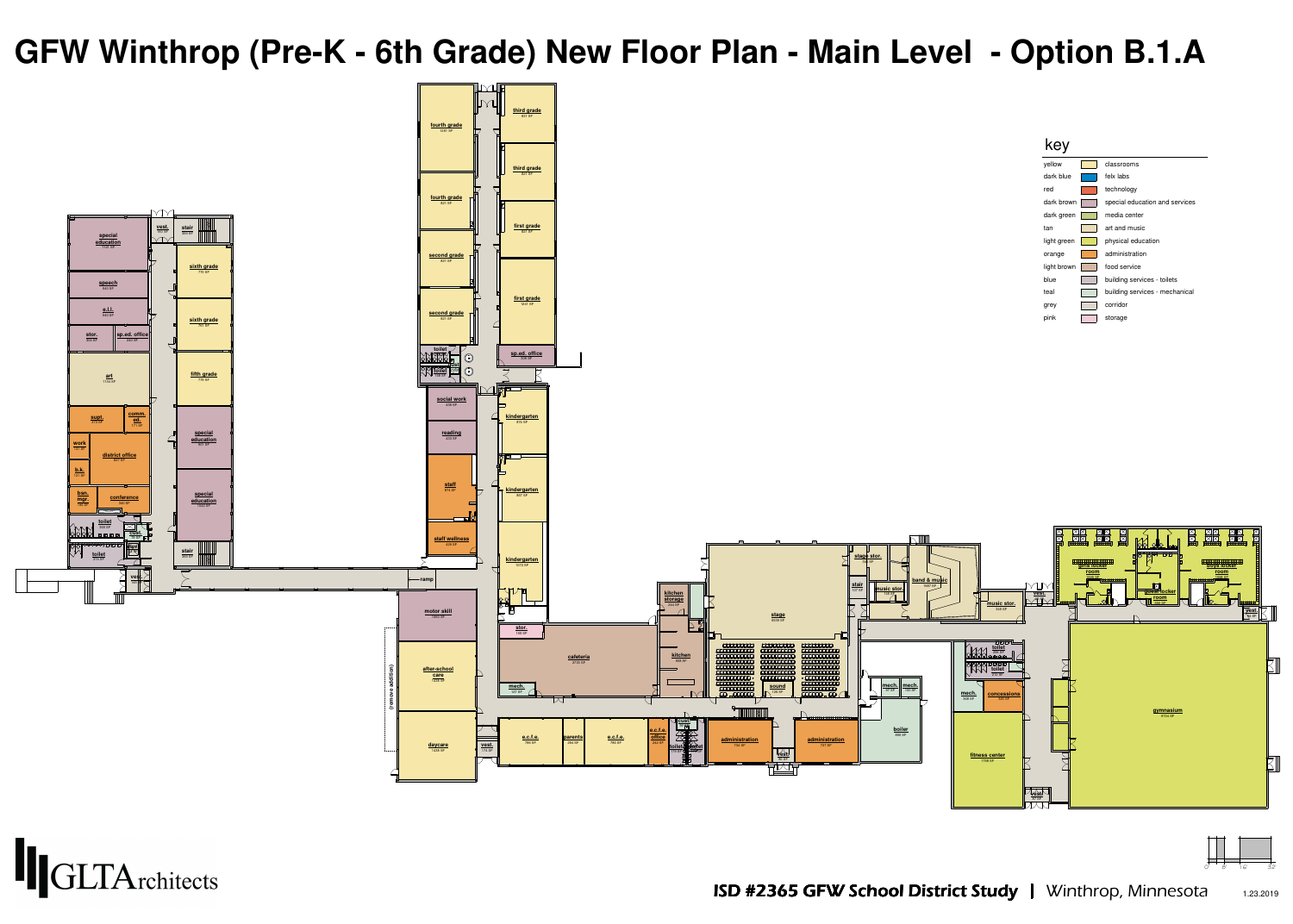





| ellow      | classrooms       |
|------------|------------------|
| lark blue  | felx labs        |
| эd         | technology       |
| ark brown  | special educatio |
| lark green | media center     |
| an         | art and music    |
| ght green  | physical educat  |
| range      | administration   |
| ght brown  | food service     |
| lue        | building service |
| eal        | building service |
| rey        | corridor         |
| ink        | storage          |
|            |                  |



- 
- 

# **GFW Winthrop (Pre-K - 6th Grade) New Floor Plan - Main Level - Option B.1.A**